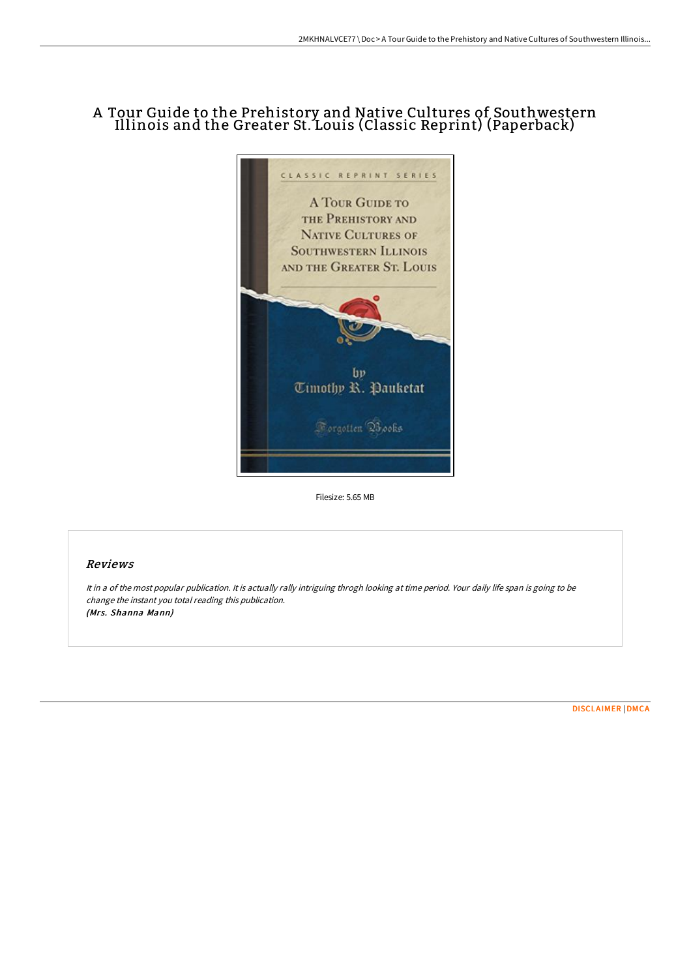## A Tour Guide to the Prehistory and Native Cultures of Southwestern Illinois and the Greater St. Louis (Classic Reprint) (Paperback)



Filesize: 5.65 MB

## Reviews

It in <sup>a</sup> of the most popular publication. It is actually rally intriguing throgh looking at time period. Your daily life span is going to be change the instant you total reading this publication. (Mrs. Shanna Mann)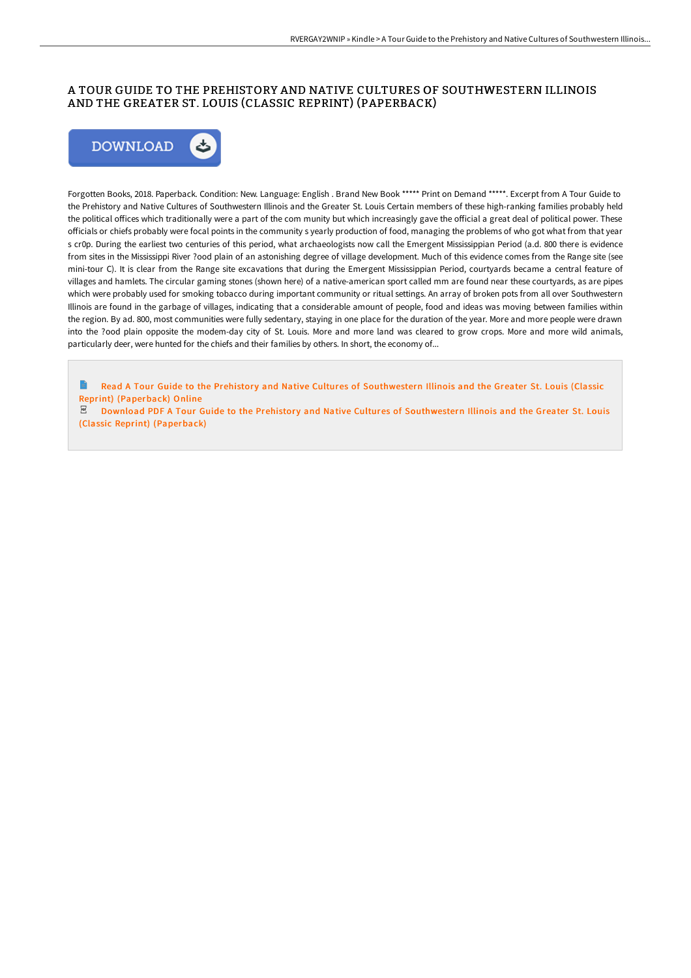## A TOUR GUIDE TO THE PREHISTORY AND NATIVE CULTURES OF SOUTHWESTERN ILLINOIS AND THE GREATER ST. LOUIS (CLASSIC REPRINT) (PAPERBACK)



Forgotten Books, 2018. Paperback. Condition: New. Language: English . Brand New Book \*\*\*\*\* Print on Demand \*\*\*\*\*. Excerpt from A Tour Guide to the Prehistory and Native Cultures of Southwestern Illinois and the Greater St. Louis Certain members of these high-ranking families probably held the political offices which traditionally were a part of the com munity but which increasingly gave the official a great deal of political power. These officials or chiefs probably were focal points in the community s yearly production of food, managing the problems of who got what from that year s cr0p. During the earliest two centuries of this period, what archaeologists now call the Emergent Mississippian Period (a.d. 800 there is evidence from sites in the Mississippi River ?ood plain of an astonishing degree of village development. Much of this evidence comes from the Range site (see mini-tour C). It is clear from the Range site excavations that during the Emergent Mississippian Period, courtyards became a central feature of villages and hamlets. The circular gaming stones (shown here) of a native-american sport called mm are found near these courtyards, as are pipes which were probably used for smoking tobacco during important community or ritual settings. An array of broken pots from all over Southwestern Illinois are found in the garbage of villages, indicating that a considerable amount of people, food and ideas was moving between families within the region. By ad. 800, most communities were fully sedentary, staying in one place for the duration of the year. More and more people were drawn into the ?ood plain opposite the modem-day city of St. Louis. More and more land was cleared to grow crops. More and more wild animals, particularly deer, were hunted for the chiefs and their families by others. In short, the economy of...

Read A Tour Guide to the Prehistory and Native Cultures of [Southwestern](http://techno-pub.tech/a-tour-guide-to-the-prehistory-and-native-cultur.html) Illinois and the Greater St. Louis (Classic Reprint) (Paperback) Online

PDF Download PDF A Tour Guide to the Prehistory and Native Cultures of [Southwestern](http://techno-pub.tech/a-tour-guide-to-the-prehistory-and-native-cultur.html) Illinois and the Greater St. Louis (Classic Reprint) (Paperback)